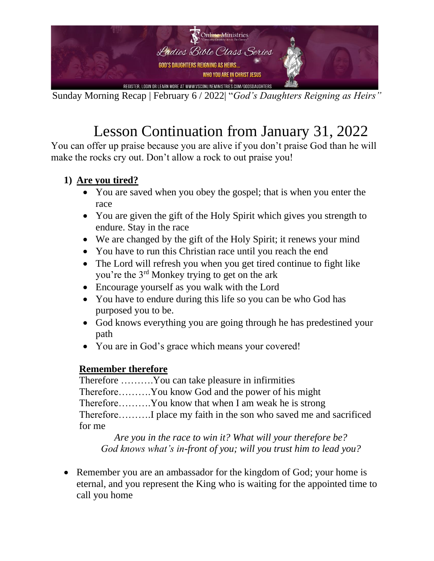

Sunday Morning Recap | February 6 / 2022| "*God's Daughters Reigning as Heirs"*

## Lesson Continuation from January 31, 2022

You can offer up praise because you are alive if you don't praise God than he will make the rocks cry out. Don't allow a rock to out praise you!

## **1) Are you tired?**

- You are saved when you obey the gospel; that is when you enter the race
- You are given the gift of the Holy Spirit which gives you strength to endure. Stay in the race
- We are changed by the gift of the Holy Spirit; it renews your mind
- You have to run this Christian race until you reach the end
- The Lord will refresh you when you get tired continue to fight like you're the 3rd Monkey trying to get on the ark
- Encourage yourself as you walk with the Lord
- You have to endure during this life so you can be who God has purposed you to be.
- God knows everything you are going through he has predestined your path
- You are in God's grace which means your covered!

## **Remember therefore**

Therefore ……….You can take pleasure in infirmities Therefore……….You know God and the power of his might Therefore……….You know that when I am weak he is strong Therefore……….I place my faith in the son who saved me and sacrificed for me

*Are you in the race to win it? What will your therefore be? God knows what's in-front of you; will you trust him to lead you?*

• Remember you are an ambassador for the kingdom of God; your home is eternal, and you represent the King who is waiting for the appointed time to call you home